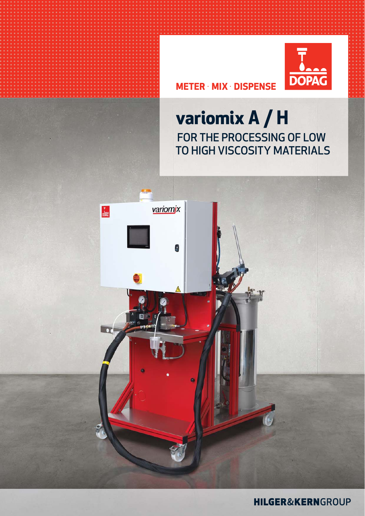

## **METER** · **MIX** · **DISPENSE**

# **variomix A / H** FOR THE PROCESSING OF LOW TO HIGH VISCOSITY MATERIALS



**HILGER&KERN**GROUP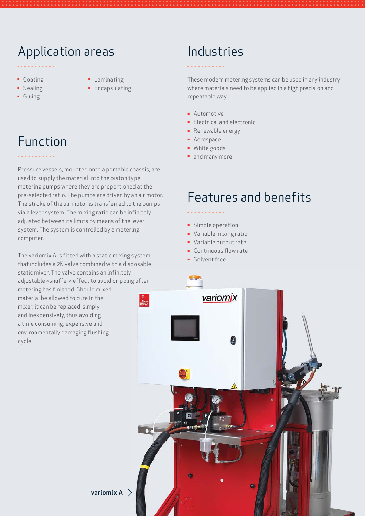## Application areas

- Coating
- **•** Sealing
- Gluing
- **•** Laminating **Encapsulating**

# Function

Pressure vessels, mounted onto a portable chassis, are used to supply the material into the piston type metering pumps where they are proportioned at the pre-selected ratio. The pumps are driven by an air motor. The stroke of the air motor is transferred to the pumps via a lever system. The mixing ratio can be infinitely adjusted between its limits by means of the lever system. The system is controlled by a metering computer.

The variomix A is fitted with a static mixing system that includes a 2K valve combined with a disposable static mixer. The valve contains an infinitely adjustable «snuffer» effect to avoid dripping after metering has finished. Should mixed material be allowed to cure in the  $\frac{1}{\text{none}}$ mixer, it can be replaced simply and inexpensively, thus avoiding a time consuming, expensive and environmentally damaging flushing cycle.

## Industries

These modern metering systems can be used in any industry where materials need to be applied in a high precision and repeatable way.

- **·** Automotive
- **Electrical and electronic**
- **•** Renewable energy
- Aerospace
- White goods
- and many more

## Features and benefits

- **·** Simple operation
- Variable mixing ratio
- Variable output rate
- Continuous flow rate
- Solvent free



variomix  $A >$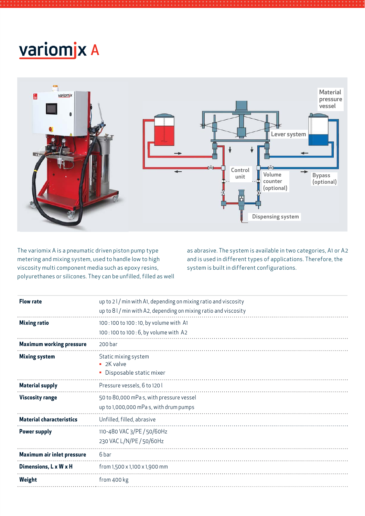# variomjx A



The variomix A is a pneumatic driven piston pump type metering and mixing system, used to handle low to high viscosity multi component media such as epoxy resins, polyurethanes or silicones. They can be unfilled, filled as well

as abrasive. The system is available in two categories, A1 or A2 and is used in different types of applications. Therefore, the system is built in different configurations.

| <b>Flow rate</b>                  | up to 21/min with A1, depending on mixing ratio and viscosity<br>up to $81/m$ in with A2, depending on mixing ratio and viscosity |
|-----------------------------------|-----------------------------------------------------------------------------------------------------------------------------------|
| <b>Mixing ratio</b>               | 100:100 to 100:10, by volume with A1<br>100:100 to 100:6, by volume with A2                                                       |
| <b>Maximum working pressure</b>   | 200 bar                                                                                                                           |
| <b>Mixing system</b>              | Static mixing system<br>$\blacksquare$ 2K valve<br>• Disposable static mixer                                                      |
| <b>Material supply</b>            | Pressure vessels, 6 to 120 l                                                                                                      |
| <b>Viscosity range</b>            | 50 to 80,000 mPa s, with pressure vessel<br>up to 1,000,000 mPas, with drum pumps                                                 |
| <b>Material characteristics</b>   | Unfilled, filled, abrasive                                                                                                        |
| <b>Power supply</b>               | 110-480 VAC 3/PE / 50/60Hz<br>230 VAC L/N/PE / 50/60Hz                                                                            |
| <b>Maximum air inlet pressure</b> | 6 bar                                                                                                                             |
| Dimensions, L x W x H             | from $1,500 \times 1,100 \times 1,900$ mm                                                                                         |
| Weight                            | from 400 kg                                                                                                                       |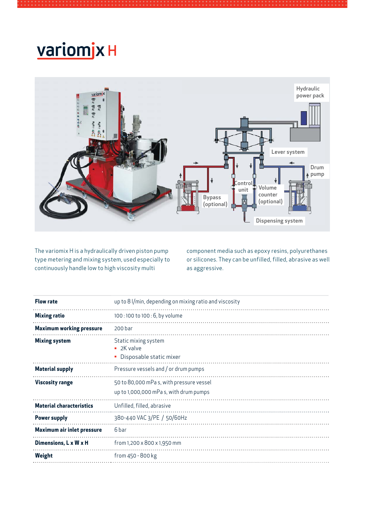# variomjx H



The variomix H is a hydraulically driven piston pump type metering and mixing system, used especially to continuously handle low to high viscosity multi

component media such as epoxy resins, polyurethanes or silicones. They can be unfilled, filled, abrasive as well as aggressive.

| <b>Flow rate</b>                  | up to 8 l/min, depending on mixing ratio and viscosity                            |
|-----------------------------------|-----------------------------------------------------------------------------------|
| <b>Mixing ratio</b>               | 100:100 to 100:6, by volume                                                       |
| <b>Maximum working pressure</b>   | 200 bar                                                                           |
| <b>Mixing system</b>              | Static mixing system<br>$\blacksquare$ 2K valve<br>Disposable static mixer        |
| <b>Material supply</b>            | Pressure vessels and / or drum pumps                                              |
| <b>Viscosity range</b>            | 50 to 80,000 mPas, with pressure vessel<br>up to 1,000,000 mPa s, with drum pumps |
| <b>Material characteristics</b>   | Unfilled, filled, abrasive                                                        |
| <b>Power supply</b>               | 380-440 VAC 3/PE / 50/60Hz                                                        |
| <b>Maximum air inlet pressure</b> | 6 bar                                                                             |
| Dimensions, L x W x H             | from 1,200 x 800 x 1,950 mm                                                       |
| Weight                            | from 450 - 800 kg                                                                 |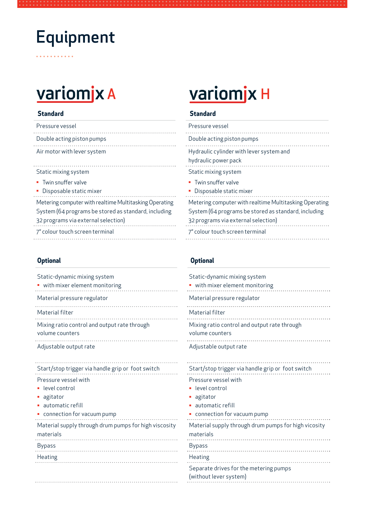# Equipment

## **Standard Standard**

| Pressure vessel                                        | Pressure vessel                                                  |
|--------------------------------------------------------|------------------------------------------------------------------|
| Double acting piston pumps                             | Double acting piston pumps                                       |
| Air motor with lever system                            | Hydraulic cylinder with lever system and<br>hydraulic power pack |
| Static mixing system                                   | Static mixing system                                             |
| • Twin snuffer valve<br>• Disposable static mixer      | • Twin snuffer valve<br>• Disposable static mixer                |
| Metering computer with realtime Multitasking Operating | Metering computer with realtime Multita                          |
| System (64 programs be stored as standard, including   | System (64 programs be stored as stand                           |
| 32 programs via external selection)                    | 32 programs via external selection)                              |

32 programs via external selection) 7" colour touch screen terminal

. . . . .

| Static-dynamic mixing system                          | Static-dynamic mixing system                                                          |
|-------------------------------------------------------|---------------------------------------------------------------------------------------|
| • with mixer element monitoring                       | • with mixer element monitoring                                                       |
| Material pressure regulator                           | Material pressure regulator                                                           |
| Material filter                                       | Material filter                                                                       |
| Mixing ratio control and output rate through          | Mixing ratio control and output rate through                                          |
| volume counters                                       | volume counters                                                                       |
| Adjustable output rate                                | Adjustable output rate                                                                |
| Start/stop trigger via handle grip or foot switch     | Start/stop trigger via handle grip or foot switch                                     |
| Pressure vessel with                                  | Pressure vessel with                                                                  |
| level control                                         | level control                                                                         |
| • agitator                                            | • agitator                                                                            |
| • automatic refill                                    | automatic refill                                                                      |
| • connection for vacuum pump                          | • connection for vacuum pump                                                          |
| Material supply through drum pumps for high viscosity | Material supply through drum pumps for high vio                                       |
| materials                                             | materials                                                                             |
| <b>Bypass</b><br><b>Heating</b>                       | Bypass<br>Heating<br>Separate drives for the metering pumps<br>(without lever system) |

# variomjx A variomjx H

| Pressure vessel                                                                                                                                       |
|-------------------------------------------------------------------------------------------------------------------------------------------------------|
| Double acting piston pumps                                                                                                                            |
| Hydraulic cylinder with lever system and<br>hydraulic power pack                                                                                      |
| Static mixing system                                                                                                                                  |
| • Twin snuffer valve<br>• Disposable static mixer                                                                                                     |
| Metering computer with realtime Multitasking Operating<br>System (64 programs be stored as standard, including<br>32 programs via external selection) |
| 7" colour touch screen terminal                                                                                                                       |

## **Optional Optional**

 $\ddot{\phantom{a}}$ 

| Static-dynamic mixing system<br>with mixer element monitoring                                          |
|--------------------------------------------------------------------------------------------------------|
| Material pressure regulator                                                                            |
| Material filter                                                                                        |
| Mixing ratio control and output rate through<br>volume counters                                        |
| Adjustable output rate                                                                                 |
| Start/stop trigger via handle grip or foot switch<br>Pressure vessel with<br>level control<br>agitator |
| automatic refill<br>• connection for vacuum pump                                                       |
| Material supply through drum pumps for high vicosity<br>materials                                      |
| <b>Bypass</b>                                                                                          |
| Heating<br>Separate drives for the metering pumps<br>(without lever system)                            |